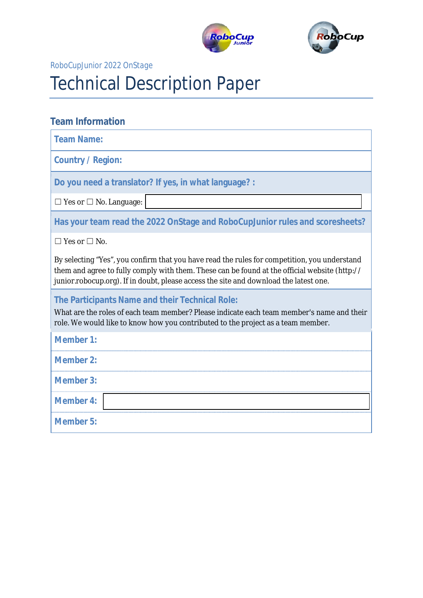



#### **RoboCupJunior 2022 OnStage**

# **Technical Description Paper**

# **Team Information**

**Team Name:** 

**Country / Region:** 

Do you need a translator? If yes, in what language? :

|  |  |  |  |  | $\Box$ Yes or $\Box$ No. Language: |
|--|--|--|--|--|------------------------------------|
|--|--|--|--|--|------------------------------------|

Has your team read the 2022 OnStage and RoboCupJunior rules and scoresheets?

 $\Box$  Yes or  $\Box$  No.

By selecting "Yes", you confirm that you have read the rules for competition, you understand them and agree to fully comply with them. These can be found at the official website (http:// junior.robocup.org). If in doubt, please access the site and download the latest one.

**The Participants Name and their Technical Role:** 

What are the roles of each team member? Please indicate each team member's name and their role. We would like to know how you contributed to the project as a team member.

| <b>Member 1:</b> |  |
|------------------|--|
| <b>Member 2:</b> |  |
| <b>Member 3:</b> |  |
| <b>Member 4:</b> |  |
| <b>Member 5:</b> |  |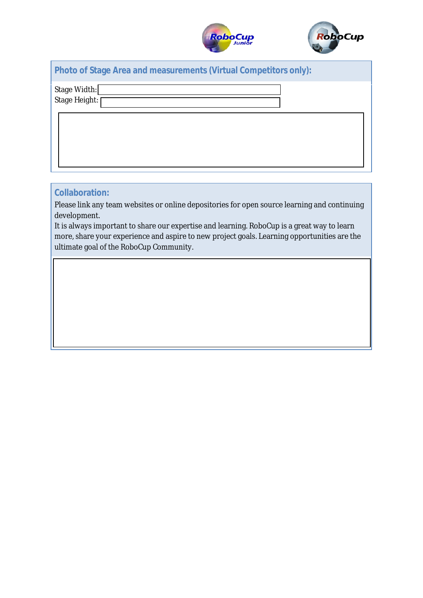



|  | <b>Photo of Stage Area and measurements (Virtual Competitors only):</b> |  |  |
|--|-------------------------------------------------------------------------|--|--|
|  |                                                                         |  |  |

Stage Width:

Stage Height:

# **Collaboration:**

Please link any team websites or online depositories for open source learning and continuing development.

It is always important to share our expertise and learning. RoboCup is a great way to learn more, share your experience and aspire to new project goals. Learning opportunities are the ultimate goal of the RoboCup Community.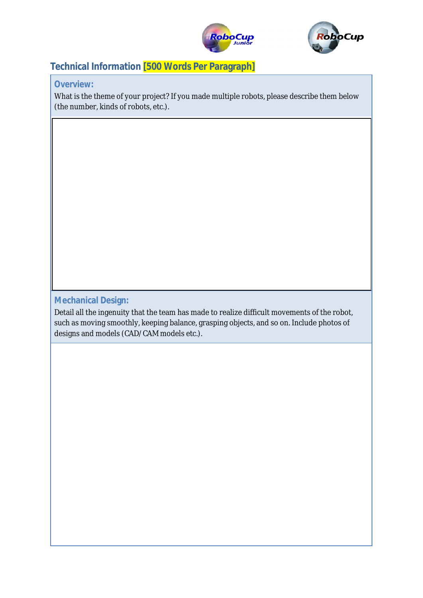



# **Technical Information [500 Words Per Paragraph]**

#### **Overview:**

What is the theme of your project? If you made multiple robots, please describe them below (the number, kinds of robots, etc.).

# **Mechanical Design:**

Detail all the ingenuity that the team has made to realize difficult movements of the robot, such as moving smoothly, keeping balance, grasping objects, and so on. Include photos of designs and models (CAD/CAM models etc.).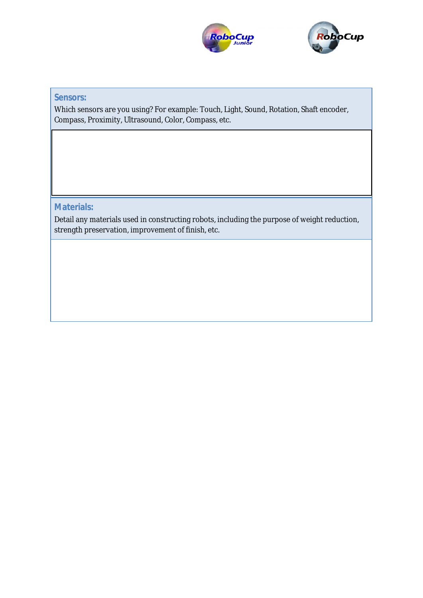



# **Sensors:**

Which sensors are you using? For example: Touch, Light, Sound, Rotation, Shaft encoder, Compass, Proximity, Ultrasound, Color, Compass, etc.

**Materials:**

Detail any materials used in constructing robots, including the purpose of weight reduction, strength preservation, improvement of finish, etc.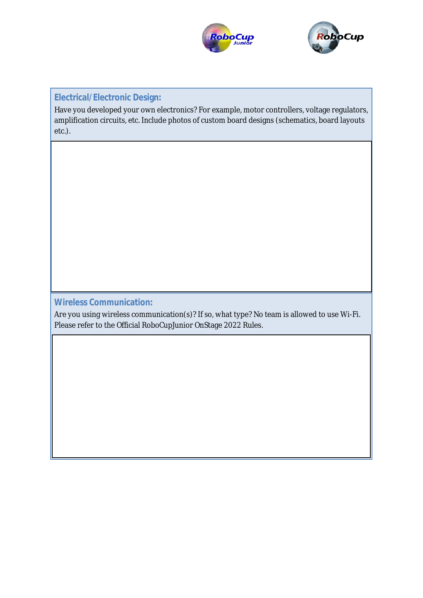



### **Electrical/Electronic Design:**

Have you developed your own electronics? For example, motor controllers, voltage regulators, amplification circuits, etc. Include photos of custom board designs (schematics, board layouts  $etc.).$ 

### **Wireless Communication:**

Are you using wireless communication(s)? If so, what type? No team is allowed to use Wi-Fi. Please refer to the Official RoboCupJunior OnStage 2022 Rules.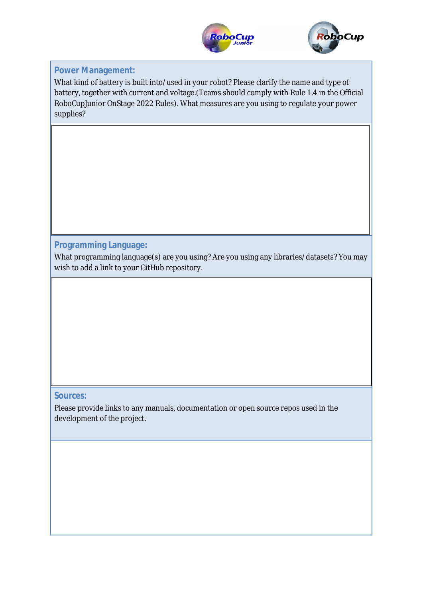



# **Power Management:**

What kind of battery is built into/used in your robot? Please clarify the name and type of battery, together with current and voltage. (Teams should comply with Rule 1.4 in the Official RoboCupJunior OnStage 2022 Rules). What measures are you using to regulate your power supplies?

# **Programming Language:**

What programming language(s) are you using? Are you using any libraries/datasets? You may wish to add a link to your GitHub repository.

# **Sources:**

Please provide links to any manuals, documentation or open source repos used in the development of the project.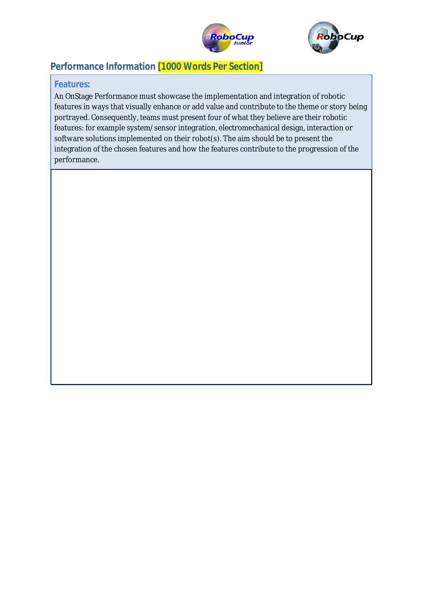



# **Performance Information [1000 Words Per Section]**

#### **Features:**

An OnStage Performance must showcase the implementation and integration of robotic features in ways that visually enhance or add value and contribute to the theme or story being portrayed. Consequently, teams must present four of what they believe are their robotic features: for example system/sensor integration, electromechanical design, interaction or software solutions implemented on their robot(s). The aim should be to present the integration of the chosen features and how the features contribute to the progression of the performance.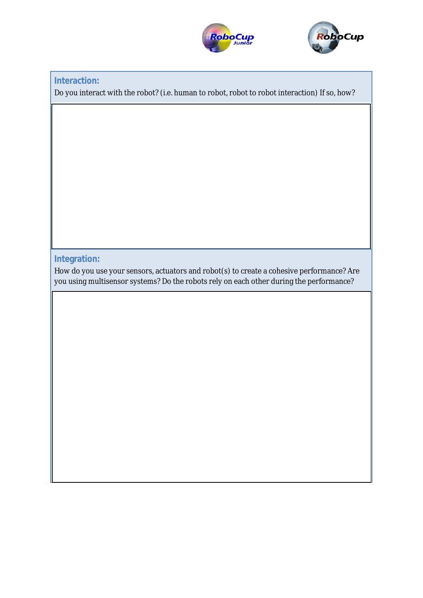



#### **Interaction:**

Do you interact with the robot? (i.e. human to robot, robot to robot interaction) If so, how?

### **Integration:**

How do you use your sensors, actuators and robot(s) to create a cohesive performance? Are you using multisensor systems? Do the robots rely on each other during the performance?